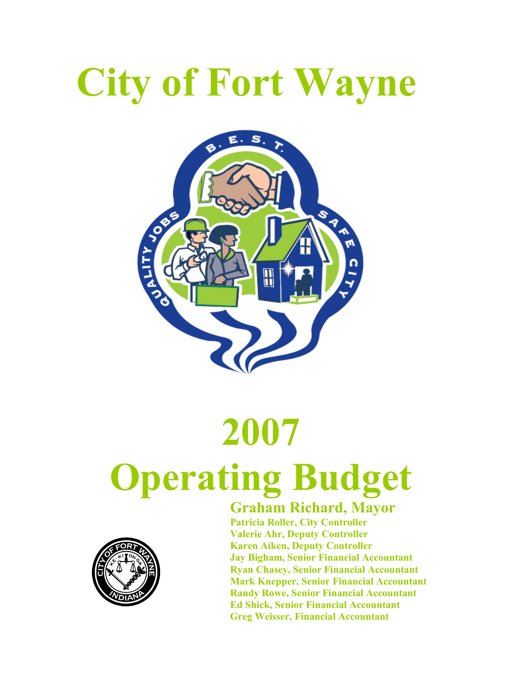# City of Fort Wayne



# 2007 Operating Budget



#### Graham Richard, Mayor

 Patricia Roller, City Controller Valerie Ahr, Deputy Controller Karen Aiken, Deputy Controller Jay Bigham, Senior Financial Accountant Ryan Chasey, Senior Financial Accountant Mark Knepper, Senior Financial Accountant Randy Rowe, Senior Financial Accountant Ed Shick, Senior Financial Accountant Greg Weisser, Financial Accountant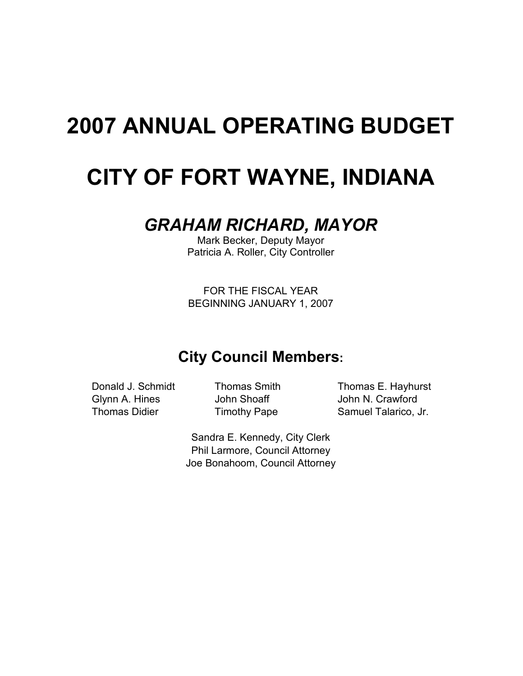## 2007 ANNUAL OPERATING BUDGET

## CITY OF FORT WAYNE, INDIANA

#### GRAHAM RICHARD, MAYOR

Mark Becker, Deputy Mayor Patricia A. Roller, City Controller

FOR THE FISCAL YEAR BEGINNING JANUARY 1, 2007

### City Council Members:

Donald J. Schmidt Thomas Smith Thomas E. Hayhurst Glynn A. Hines **John Shoaff** John N. Crawford Thomas Didier Timothy Pape Samuel Talarico, Jr.

> Sandra E. Kennedy, City Clerk Phil Larmore, Council Attorney Joe Bonahoom, Council Attorney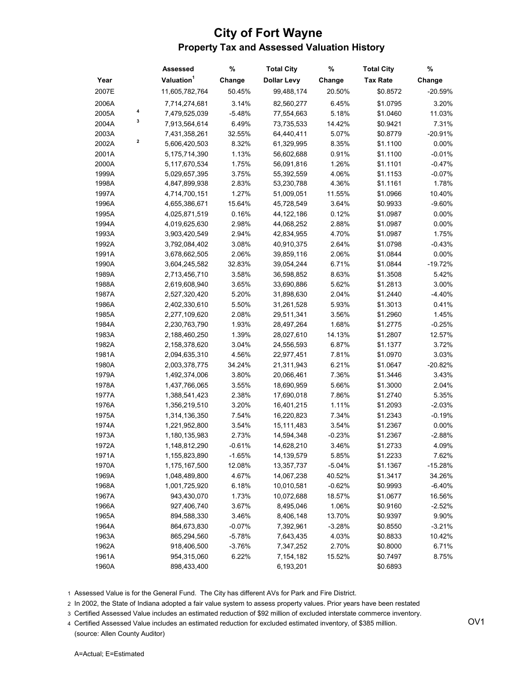#### City of Fort Wayne Property Tax and Assessed Valuation History

|       |   | Assessed               | %        | <b>Total City</b>  | %        | <b>Total City</b> | %         |
|-------|---|------------------------|----------|--------------------|----------|-------------------|-----------|
| Year  |   | Valuation <sup>1</sup> | Change   | <b>Dollar Levy</b> | Change   | <b>Tax Rate</b>   | Change    |
| 2007E |   | 11,605,782,764         | 50.45%   | 99,488,174         | 20.50%   | \$0.8572          | $-20.59%$ |
| 2006A |   | 7,714,274,681          | 3.14%    | 82,560,277         | 6.45%    | \$1.0795          | 3.20%     |
| 2005A | 4 | 7,479,525,039          | $-5.48%$ | 77,554,663         | 5.18%    | \$1.0460          | 11.03%    |
| 2004A | 3 | 7,913,564,614          | 6.49%    | 73,735,533         | 14.42%   | \$0.9421          | 7.31%     |
| 2003A |   | 7,431,358,261          | 32.55%   | 64,440,411         | 5.07%    | \$0.8779          | $-20.91%$ |
| 2002A | 2 | 5,606,420,503          | 8.32%    | 61,329,995         | 8.35%    | \$1.1100          | 0.00%     |
| 2001A |   | 5,175,714,390          | 1.13%    | 56,602,688         | 0.91%    | \$1.1100          | $-0.01%$  |
| 2000A |   | 5,117,670,534          | 1.75%    | 56,091,816         | 1.26%    | \$1.1101          | $-0.47%$  |
| 1999A |   | 5,029,657,395          | 3.75%    | 55,392,559         | 4.06%    | \$1.1153          | $-0.07%$  |
| 1998A |   | 4,847,899,938          | 2.83%    | 53,230,788         | 4.36%    | \$1.1161          | 1.78%     |
| 1997A |   | 4,714,700,151          | 1.27%    | 51,009,051         | 11.55%   | \$1.0966          | 10.40%    |
| 1996A |   | 4,655,386,671          | 15.64%   | 45,728,549         | 3.64%    | \$0.9933          | $-9.60%$  |
| 1995A |   | 4,025,871,519          | 0.16%    | 44,122,186         | 0.12%    | \$1.0987          | 0.00%     |
| 1994A |   | 4,019,625,630          | 2.98%    | 44,068,252         | 2.88%    | \$1.0987          | 0.00%     |
| 1993A |   | 3,903,420,549          | 2.94%    | 42,834,955         | 4.70%    | \$1.0987          | 1.75%     |
| 1992A |   | 3,792,084,402          | 3.08%    | 40,910,375         | 2.64%    | \$1.0798          | $-0.43%$  |
| 1991A |   | 3,678,662,505          | 2.06%    | 39,859,116         | 2.06%    | \$1.0844          | 0.00%     |
| 1990A |   | 3,604,245,582          | 32.83%   | 39,054,244         | 6.71%    | \$1.0844          | $-19.72%$ |
| 1989A |   | 2,713,456,710          | 3.58%    | 36,598,852         | 8.63%    | \$1.3508          | 5.42%     |
| 1988A |   | 2,619,608,940          | 3.65%    | 33,690,886         | 5.62%    | \$1.2813          | 3.00%     |
| 1987A |   | 2,527,320,420          | 5.20%    | 31,898,630         | 2.04%    | \$1.2440          | $-4.40%$  |
| 1986A |   | 2,402,330,610          | 5.50%    | 31,261,528         | 5.93%    | \$1.3013          | 0.41%     |
| 1985A |   | 2,277,109,620          | 2.08%    | 29,511,341         | 3.56%    | \$1.2960          | 1.45%     |
| 1984A |   | 2,230,763,790          | 1.93%    | 28,497,264         | 1.68%    | \$1.2775          | $-0.25%$  |
| 1983A |   | 2,188,460,250          | 1.39%    | 28,027,610         | 14.13%   | \$1.2807          | 12.57%    |
| 1982A |   | 2,158,378,620          | 3.04%    | 24,556,593         | 6.87%    | \$1.1377          | 3.72%     |
| 1981A |   | 2,094,635,310          | 4.56%    | 22,977,451         | 7.81%    | \$1.0970          | 3.03%     |
| 1980A |   | 2,003,378,775          | 34.24%   | 21,311,943         | 6.21%    | \$1.0647          | $-20.82%$ |
| 1979A |   | 1,492,374,006          | 3.80%    | 20,066,461         | 7.36%    | \$1.3446          | 3.43%     |
| 1978A |   | 1,437,766,065          | 3.55%    | 18,690,959         | 5.66%    | \$1.3000          | 2.04%     |
| 1977A |   | 1,388,541,423          | 2.38%    | 17,690,018         | 7.86%    | \$1.2740          | 5.35%     |
| 1976A |   | 1,356,219,510          | 3.20%    | 16,401,215         | 1.11%    | \$1.2093          | $-2.03%$  |
| 1975A |   | 1,314,136,350          | 7.54%    | 16,220,823         | 7.34%    | \$1.2343          | $-0.19%$  |
| 1974A |   | 1,221,952,800          | 3.54%    | 15,111,483         | 3.54%    | \$1.2367          | 0.00%     |
| 1973A |   | 1,180,135,983          | 2.73%    | 14,594,348         | $-0.23%$ | \$1.2367          | $-2.88%$  |
| 1972A |   | 1,148,812,290          | $-0.61%$ | 14,628,210         | 3.46%    | \$1.2733          | 4.09%     |
| 1971A |   | 1,155,823,890          | $-1.65%$ | 14,139,579         | 5.85%    | \$1.2233          | 7.62%     |
| 1970A |   | 1,175,167,500          | 12.08%   | 13,357,737         | $-5.04%$ | \$1.1367          | $-15.28%$ |
| 1969A |   | 1,048,489,800          | 4.67%    | 14,067,238         | 40.52%   | \$1.3417          | 34.26%    |
| 1968A |   | 1,001,725,920          | 6.18%    | 10,010,581         | $-0.62%$ | \$0.9993          | $-6.40%$  |
| 1967A |   | 943,430,070            | 1.73%    | 10,072,688         | 18.57%   | \$1.0677          | 16.56%    |
| 1966A |   | 927,406,740            | 3.67%    | 8,495,046          | 1.06%    | \$0.9160          | $-2.52%$  |
| 1965A |   | 894,588,330            | 3.46%    | 8,406,148          | 13.70%   | \$0.9397          | 9.90%     |
| 1964A |   | 864,673,830            | $-0.07%$ | 7,392,961          | $-3.28%$ | \$0.8550          | $-3.21%$  |
| 1963A |   | 865,294,560            | $-5.78%$ | 7,643,435          | 4.03%    | \$0.8833          | 10.42%    |
| 1962A |   | 918,406,500            | $-3.76%$ | 7,347,252          | 2.70%    | \$0.8000          | 6.71%     |
| 1961A |   | 954,315,060            | 6.22%    | 7,154,182          | 15.52%   | \$0.7497          | 8.75%     |
| 1960A |   | 898,433,400            |          | 6,193,201          |          | \$0.6893          |           |
|       |   |                        |          |                    |          |                   |           |

1 Assessed Value is for the General Fund. The City has different AVs for Park and Fire District.

2 In 2002, the State of Indiana adopted a fair value system to assess property values. Prior years have been restated

3 Certified Assessed Value includes an estimated reduction of \$92 million of excluded interstate commerce inventory.

4 Certified Assessed Value includes an estimated reduction for excluded estimated inventory, of \$385 million. (source: Allen County Auditor)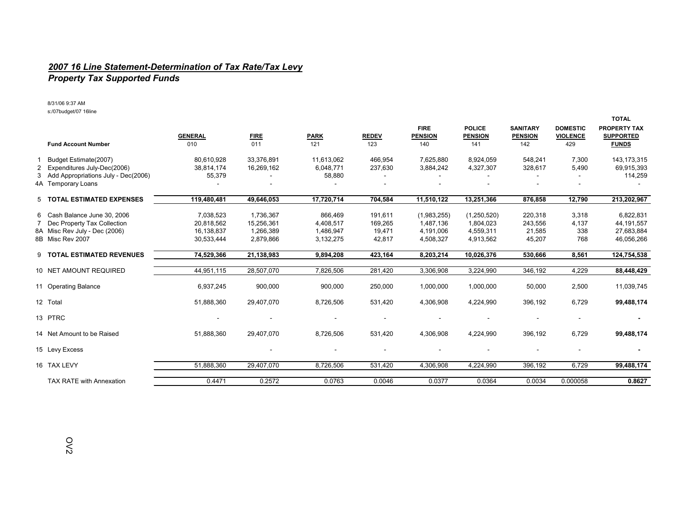#### 2007 16 Line Statement-Determination of Tax Rate/Tax Levy

#### Property Tax Supported Funds

8/31/06 9:37 AMs:/07budget/07 16line

|   |                                     |                |             |                          |              |                               |                                 |                                   |                                    | <b>TOTAL</b>                            |
|---|-------------------------------------|----------------|-------------|--------------------------|--------------|-------------------------------|---------------------------------|-----------------------------------|------------------------------------|-----------------------------------------|
|   |                                     | <b>GENERAL</b> | <b>FIRE</b> | <b>PARK</b>              | <b>REDEV</b> | <b>FIRE</b><br><b>PENSION</b> | <b>POLICE</b><br><b>PENSION</b> | <b>SANITARY</b><br><b>PENSION</b> | <b>DOMESTIC</b><br><b>VIOLENCE</b> | <b>PROPERTY TAX</b><br><b>SUPPORTED</b> |
|   | <b>Fund Account Number</b>          | 010            | 011         | 121                      | 123          | 140                           | 141                             | 142                               | 429                                | <b>FUNDS</b>                            |
|   | Budget Estimate(2007)               | 80.610.928     | 33,376,891  | 11,613,062               | 466,954      | 7,625,880                     | 8,924,059                       | 548,241                           | 7,300                              | 143, 173, 315                           |
|   | 2 Expenditures July-Dec(2006)       | 38,814,174     | 16,269,162  | 6,048,771                | 237,630      | 3,884,242                     | 4,327,307                       | 328,617                           | 5,490                              | 69,915,393                              |
| 3 | Add Appropriations July - Dec(2006) | 55,379         |             | 58,880                   |              |                               |                                 |                                   |                                    | 114,259                                 |
|   | 4A Temporary Loans                  |                |             |                          |              |                               |                                 |                                   |                                    |                                         |
|   | 5 TOTAL ESTIMATED EXPENSES          | 119,480,481    | 49,646,053  | 17,720,714               | 704,584      | 11,510,122                    | 13,251,366                      | 876,858                           | 12,790                             | 213,202,967                             |
|   | 6 Cash Balance June 30, 2006        | 7,038,523      | 1,736,367   | 866,469                  | 191,611      | (1,983,255)                   | (1,250,520)                     | 220,318                           | 3,318                              | 6,822,831                               |
|   | 7 Dec Property Tax Collection       | 20,818,562     | 15,256,361  | 4,408,517                | 169.265      | 1.487.136                     | 1,804,023                       | 243,556                           | 4,137                              | 44,191,557                              |
|   | 8A Misc Rev July - Dec (2006)       | 16,138,837     | 1.266.389   | 1.486.947                | 19,471       | 4.191.006                     | 4,559,311                       | 21,585                            | 338                                | 27,683,884                              |
|   | 8B Misc Rev 2007                    | 30,533,444     | 2,879,866   | 3,132,275                | 42,817       | 4,508,327                     | 4,913,562                       | 45,207                            | 768                                | 46,056,266                              |
|   | 9 TOTAL ESTIMATED REVENUES          | 74,529,366     | 21,138,983  | 9,894,208                | 423,164      | 8,203,214                     | 10,026,376                      | 530,666                           | 8,561                              | 124,754,538                             |
|   | 10 NET AMOUNT REQUIRED              | 44,951,115     | 28,507,070  | 7,826,506                | 281,420      | 3,306,908                     | 3,224,990                       | 346,192                           | 4,229                              | 88,448,429                              |
|   |                                     |                |             |                          |              |                               |                                 |                                   |                                    |                                         |
|   | 11 Operating Balance                | 6,937,245      | 900,000     | 900,000                  | 250,000      | 1,000,000                     | 1,000,000                       | 50,000                            | 2,500                              | 11,039,745                              |
|   | 12 Total                            | 51,888,360     | 29,407,070  | 8,726,506                | 531,420      | 4,306,908                     | 4,224,990                       | 396,192                           | 6,729                              | 99,488,174                              |
|   | 13 PTRC                             |                |             |                          |              |                               |                                 |                                   |                                    |                                         |
|   | 14 Net Amount to be Raised          | 51,888,360     | 29,407,070  | 8,726,506                | 531,420      | 4,306,908                     | 4,224,990                       | 396,192                           | 6,729                              | 99,488,174                              |
|   | 15 Levy Excess                      |                |             | $\overline{\phantom{a}}$ |              |                               |                                 |                                   |                                    |                                         |
|   | 16 TAX LEVY                         | 51,888,360     | 29,407,070  | 8,726,506                | 531,420      | 4,306,908                     | 4,224,990                       | 396,192                           | 6,729                              | 99,488,174                              |
|   | <b>TAX RATE with Annexation</b>     | 0.4471         | 0.2572      | 0.0763                   | 0.0046       | 0.0377                        | 0.0364                          | 0.0034                            | 0.000058                           | 0.8627                                  |
|   |                                     |                |             |                          |              |                               |                                 |                                   |                                    |                                         |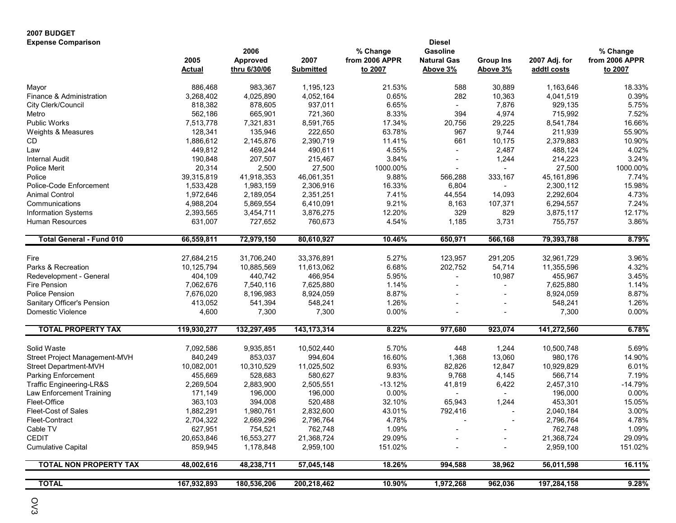| <b>2007 BUDGET</b>              |                       |              |                  |                |                    |                  |               |                 |
|---------------------------------|-----------------------|--------------|------------------|----------------|--------------------|------------------|---------------|-----------------|
| <b>Expense Comparison</b>       |                       |              |                  |                | <b>Diesel</b>      |                  |               |                 |
|                                 |                       | 2006         |                  | % Change       | <b>Gasoline</b>    |                  |               | % Change        |
|                                 | 2005                  | Approved     | 2007             | from 2006 APPR | <b>Natural Gas</b> | <b>Group Ins</b> | 2007 Adj. for | from 2006 APPR  |
|                                 | <b>Actual</b>         | thru 6/30/06 | <b>Submitted</b> | to 2007        | Above 3%           | Above 3%         | addtl costs   | to 2007         |
| Mayor                           | 886,468               | 983,367      | 1,195,123        | 21.53%         | 588                | 30,889           | 1,163,646     | 18.33%          |
| Finance & Administration        | 3,268,402             | 4,025,890    | 4,052,164        | 0.65%          | 282                | 10,363           | 4,041,519     | 0.39%           |
| City Clerk/Council              | 818,382               | 878,605      | 937,011          | 6.65%          |                    | 7,876            | 929,135       | 5.75%           |
| Metro                           | 562,186               | 665,901      | 721,360          | 8.33%          | 394                | 4,974            | 715,992       | 7.52%           |
| <b>Public Works</b>             | 7,513,778             | 7,321,831    | 8,591,765        | 17.34%         | 20,756             | 29,225           | 8,541,784     | 16.66%          |
| Weights & Measures              | 128,341               | 135,946      | 222,650          | 63.78%         | 967                | 9,744            | 211,939       | 55.90%          |
| CD                              | 1,886,612             | 2,145,876    | 2,390,719        | 11.41%         | 661                | 10,175           | 2,379,883     | 10.90%          |
| Law                             | 449,812               | 469,244      | 490,611          | 4.55%          |                    | 2,487            | 488,124       | 4.02%           |
| <b>Internal Audit</b>           | 190,848               | 207,507      | 215,467          | 3.84%          |                    | 1,244            | 214,223       | 3.24%           |
| <b>Police Merit</b>             | 20,314                | 2,500        | 27,500           | 1000.00%       |                    |                  | 27,500        | 1000.00%        |
| Police                          | 39,315,819            | 41,918,353   | 46,061,351       | 9.88%          | 566,288            | 333,167          | 45,161,896    | 7.74%           |
| Police-Code Enforcement         | 1,533,428             | 1,983,159    | 2,306,916        | 16.33%         | 6,804              |                  | 2,300,112     | 15.98%          |
| Animal Control                  | 1,972,646             | 2,189,054    | 2,351,251        | 7.41%          | 44,554             | 14,093           | 2,292,604     | 4.73%           |
| Communications                  | 4,988,204             | 5,869,554    | 6,410,091        | 9.21%          | 8,163              | 107,371          | 6,294,557     | 7.24%           |
| <b>Information Systems</b>      | 2,393,565             | 3,454,711    | 3,876,275        | 12.20%         | 329                | 829              | 3,875,117     | 12.17%          |
| <b>Human Resources</b>          | 631,007               | 727,652      | 760,673          | 4.54%          | 1,185              | 3,731            | 755,757       | 3.86%           |
|                                 |                       |              |                  |                |                    |                  |               |                 |
| <b>Total General - Fund 010</b> | 66,559,811            | 72,979,150   | 80,610,927       | 10.46%         | 650,971            | 566,168          | 79,393,788    | 8.79%           |
|                                 |                       |              |                  |                |                    |                  |               |                 |
| Fire                            | 27,684,215            | 31,706,240   | 33,376,891       | 5.27%          | 123,957            | 291,205          | 32,961,729    | 3.96%           |
| Parks & Recreation              | 10,125,794            | 10,885,569   | 11,613,062       | 6.68%          | 202,752            | 54,714           | 11,355,596    | 4.32%           |
| Redevelopment - General         | 404,109               | 440,742      | 466,954          | 5.95%          |                    | 10,987           | 455,967       | 3.45%           |
| Fire Pension                    | 7,062,676             | 7,540,116    | 7,625,880        | 1.14%          |                    | $\sim$           | 7,625,880     | 1.14%           |
| <b>Police Pension</b>           | 7,676,020             | 8,196,983    | 8,924,059        | 8.87%          |                    |                  | 8,924,059     | 8.87%           |
| Sanitary Officer's Pension      | 413,052               | 541,394      | 548,241          | 1.26%          |                    |                  | 548,241       | 1.26%           |
| <b>Domestic Violence</b>        | 4,600                 | 7,300        | 7,300            | 0.00%          |                    |                  | 7,300         | 0.00%           |
| <b>TOTAL PROPERTY TAX</b>       | 119,930,277           | 132,297,495  | 143, 173, 314    | 8.22%          | 977,680            | 923,074          | 141,272,560   | 6.78%           |
| Solid Waste                     |                       |              |                  | 5.70%          |                    |                  |               | 5.69%           |
|                                 | 7,092,586             | 9,935,851    | 10,502,440       | 16.60%         | 448                | 1,244            | 10,500,748    |                 |
| Street Project Management-MVH   | 840,249               | 853,037      | 994,604          |                | 1,368              | 13,060           | 980,176       | 14.90%<br>6.01% |
| Street Department-MVH           | 10,082,001<br>455,669 | 10,310,529   | 11,025,502       | 6.93%<br>9.83% | 82,826             | 12,847           | 10,929,829    |                 |
| <b>Parking Enforcement</b>      |                       | 528,683      | 580,627          | $-13.12%$      | 9,768              | 4,145            | 566,714       | 7.19%           |
| Traffic Engineering-LR&S        | 2,269,504             | 2,883,900    | 2,505,551        |                | 41,819             | 6,422            | 2,457,310     | $-14.79%$       |
| Law Enforcement Training        | 171,149               | 196,000      | 196,000          | 0.00%          |                    |                  | 196,000       | 0.00%           |
| Fleet-Office                    | 363,103               | 394,008      | 520,488          | 32.10%         | 65,943             | 1,244            | 453,301       | 15.05%          |
| Fleet-Cost of Sales             | 1,882,291             | 1,980,761    | 2,832,600        | 43.01%         | 792,416            |                  | 2,040,184     | 3.00%           |
| Fleet-Contract                  | 2,704,322             | 2,669,296    | 2,796,764        | 4.78%          |                    |                  | 2,796,764     | 4.78%           |
| Cable TV                        | 627,951               | 754,521      | 762,748          | 1.09%          |                    |                  | 762,748       | 1.09%           |
| <b>CEDIT</b>                    | 20,653,846            | 16,553,277   | 21,368,724       | 29.09%         |                    |                  | 21,368,724    | 29.09%          |
| <b>Cumulative Capital</b>       | 859,945               | 1,178,848    | 2,959,100        | 151.02%        |                    |                  | 2,959,100     | 151.02%         |
| <b>TOTAL NON PROPERTY TAX</b>   | 48,002,616            | 48,238,711   | 57,045,148       | 18.26%         | 994,588            | 38,962           | 56,011,598    | 16.11%          |
| <b>TOTAL</b>                    | 167,932,893           | 180,536,206  | 200,218,462      | 10.90%         | 1,972,268          | 962,036          | 197,284,158   | 9.28%           |
|                                 |                       |              |                  |                |                    |                  |               |                 |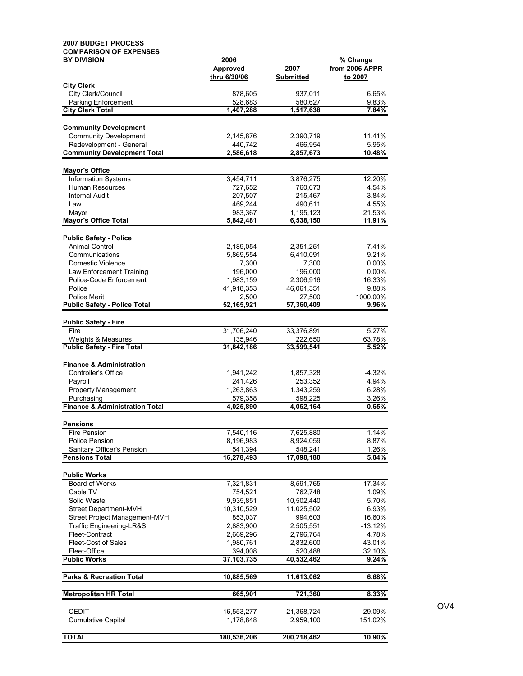| <b>2007 BUDGET PROCESS</b>                                           |                       |                       |                      |
|----------------------------------------------------------------------|-----------------------|-----------------------|----------------------|
| <b>COMPARISON OF EXPENSES</b><br><b>BY DIVISION</b>                  | 2006                  |                       | % Change             |
|                                                                      | <b>Approved</b>       | 2007                  | from 2006 APPR       |
|                                                                      | thru 6/30/06          | <b>Submitted</b>      | to 2007              |
| <b>City Clerk</b><br>City Clerk/Council                              |                       |                       | 6.65%                |
| Parking Enforcement                                                  | 878,605<br>528,683    | 937,011<br>580,627    | 9.83%                |
| <b>City Clerk Total</b>                                              | 1,407,288             | 1,517,638             | 7.84%                |
|                                                                      |                       |                       |                      |
| <b>Community Development</b><br><b>Community Development</b>         | 2,145,876             | 2,390,719             | 11.41%               |
| Redevelopment - General                                              | 440,742               | 466,954               | 5.95%                |
| <b>Community Development Total</b>                                   | 2,586,618             | 2,857,673             | 10.48%               |
|                                                                      |                       |                       |                      |
| <b>Mayor's Office</b><br><b>Information Systems</b>                  | 3,454,711             |                       | 12.20%               |
| Human Resources                                                      | 727,652               | 3,876,275<br>760,673  | 4.54%                |
| <b>Internal Audit</b>                                                | 207,507               | 215,467               | 3.84%                |
| Law                                                                  | 469,244               | 490,611               | 4.55%                |
| Mayor                                                                | 983,367               | 1,195,123             | 21.53%               |
| <b>Mayor's Office Total</b>                                          | 5,842,481             | 6,538,150             | 11.91%               |
| <b>Public Safety - Police</b>                                        |                       |                       |                      |
| <b>Animal Control</b>                                                | 2,189,054             | 2,351,251             | 7.41%                |
| Communications                                                       | 5,869,554             | 6.410.091             | 9.21%                |
| Domestic Violence<br>Law Enforcement Training                        | 7,300<br>196,000      | 7,300<br>196,000      | $0.00\%$<br>$0.00\%$ |
| Police-Code Enforcement                                              | 1,983,159             | 2,306,916             | 16.33%               |
| Police                                                               | 41,918,353            | 46,061,351            | 9.88%                |
| <b>Police Merit</b>                                                  | 2,500                 | 27,500                | 1000.00%             |
| <b>Public Safety - Police Total</b>                                  | 52,165,921            | 57,360,409            | $9.96\%$             |
| <b>Public Safety - Fire</b>                                          |                       |                       |                      |
| Fire                                                                 | 31,706,240            | 33,376,891            | 5.27%                |
| Weights & Measures                                                   | 135,946               | 222,650               | 63.78%               |
| <b>Public Safety - Fire Total</b>                                    | 31,842,186            | 33,599,541            | 5.52%                |
| <b>Finance &amp; Administration</b>                                  |                       |                       |                      |
| Controller's Office                                                  | 1,941,242             | 1,857,328             | $-4.32%$             |
| Payroll                                                              | 241,426               | 253,352               | 4.94%                |
| <b>Property Management</b>                                           | 1,263,863             | 1,343,259             | 6.28%                |
| Purchasing<br><b>Finance &amp; Administration Total</b>              | 579,358               | 598,225               | 3.26%<br>0.65%       |
|                                                                      | 4,025,890             | 4,052,164             |                      |
| <b>Pensions</b>                                                      |                       |                       |                      |
| <b>Fire Pension</b>                                                  | 7,540,116             | 7,625,880             | 1.14%                |
| Police Pension                                                       | 8,196,983             | 8,924,059             | 8.87%                |
| Sanitary Officer's Pension<br><b>Pensions Total</b>                  | 541,394<br>16,278,493 | 548,241<br>17,098,180 | 1.26%<br>5.04%       |
|                                                                      |                       |                       |                      |
| <b>Public Works</b>                                                  |                       |                       |                      |
| Board of Works                                                       | 7,321,831             | 8,591,765             | 17.34%               |
| Cable TV                                                             | 754,521               | 762,748               | 1.09%                |
| Solid Waste                                                          | 9,935,851             | 10,502,440            | 5.70%                |
| <b>Street Department-MVH</b>                                         | 10,310,529            | 11,025,502            | 6.93%                |
| Street Project Management-MVH<br><b>Traffic Engineering-LR&amp;S</b> | 853,037<br>2,883,900  | 994,603<br>2,505,551  | 16.60%<br>-13.12%    |
| Fleet-Contract                                                       | 2,669,296             | 2,796,764             | 4.78%                |
| <b>Fleet-Cost of Sales</b>                                           | 1,980,761             | 2,832,600             | 43.01%               |
| Fleet-Office                                                         | 394,008               | 520,488               | 32.10%               |
| <b>Public Works</b>                                                  | 37,103,735            | 40,532,462            | 9.24%                |
| <b>Parks &amp; Recreation Total</b>                                  | 10,885,569            | 11,613,062            | 6.68%                |
| <b>Metropolitan HR Total</b>                                         | 665,901               | 721,360               | 8.33%                |
| <b>CEDIT</b>                                                         | 16,553,277            | 21,368,724            | 29.09%               |
| <b>Cumulative Capital</b>                                            | 1,178,848             | 2,959,100             | 151.02%              |
| <b>TOTAL</b>                                                         | 180,536,206           | 200,218,462           | 10.90%               |

OV4